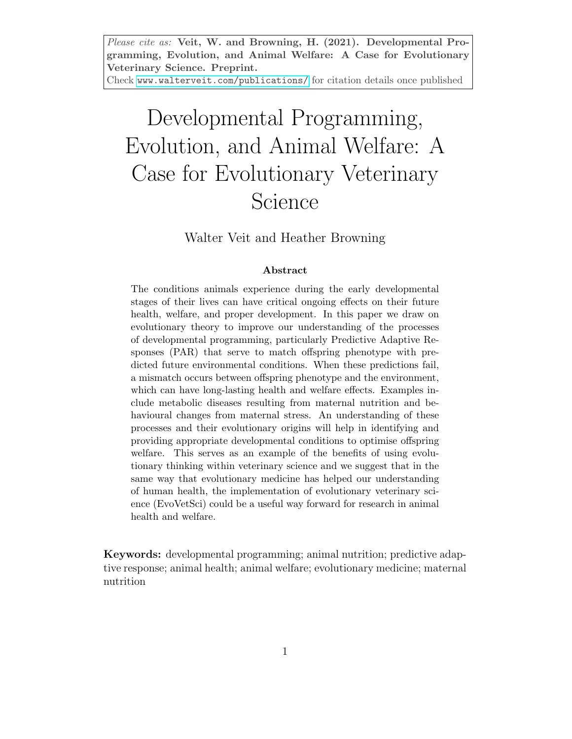Please cite as: Veit, W. and Browning, H. (2021). Developmental Programming, Evolution, and Animal Welfare: A Case for Evolutionary Veterinary Science. Preprint.

Check <www.walterveit.com/publications/> for citation details once published

# Developmental Programming, Evolution, and Animal Welfare: A Case for Evolutionary Veterinary Science

Walter Veit and Heather Browning

#### Abstract

The conditions animals experience during the early developmental stages of their lives can have critical ongoing effects on their future health, welfare, and proper development. In this paper we draw on evolutionary theory to improve our understanding of the processes of developmental programming, particularly Predictive Adaptive Responses (PAR) that serve to match offspring phenotype with predicted future environmental conditions. When these predictions fail, a mismatch occurs between offspring phenotype and the environment, which can have long-lasting health and welfare effects. Examples include metabolic diseases resulting from maternal nutrition and behavioural changes from maternal stress. An understanding of these processes and their evolutionary origins will help in identifying and providing appropriate developmental conditions to optimise offspring welfare. This serves as an example of the benefits of using evolutionary thinking within veterinary science and we suggest that in the same way that evolutionary medicine has helped our understanding of human health, the implementation of evolutionary veterinary science (EvoVetSci) could be a useful way forward for research in animal health and welfare.

Keywords: developmental programming; animal nutrition; predictive adaptive response; animal health; animal welfare; evolutionary medicine; maternal nutrition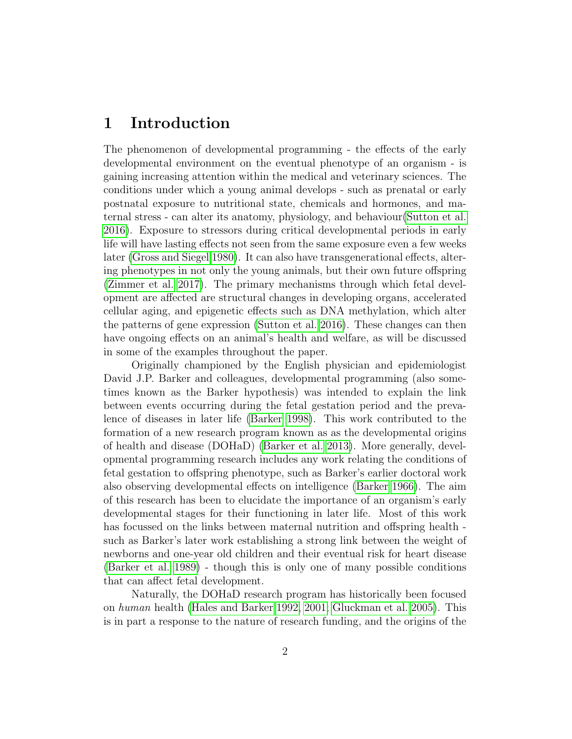#### 1 Introduction

The phenomenon of developmental programming - the effects of the early developmental environment on the eventual phenotype of an organism - is gaining increasing attention within the medical and veterinary sciences. The conditions under which a young animal develops - such as prenatal or early postnatal exposure to nutritional state, chemicals and hormones, and maternal stress - can alter its anatomy, physiology, and behaviour[\(Sutton et al.](#page-22-0) [2016\)](#page-22-0). Exposure to stressors during critical developmental periods in early life will have lasting effects not seen from the same exposure even a few weeks later [\(Gross and Siegel 1980\)](#page-18-0). It can also have transgenerational effects, altering phenotypes in not only the young animals, but their own future offspring [\(Zimmer et al. 2017\)](#page-23-0). The primary mechanisms through which fetal development are affected are structural changes in developing organs, accelerated cellular aging, and epigenetic effects such as DNA methylation, which alter the patterns of gene expression [\(Sutton et al. 2016\)](#page-22-0). These changes can then have ongoing effects on an animal's health and welfare, as will be discussed in some of the examples throughout the paper.

Originally championed by the English physician and epidemiologist David J.P. Barker and colleagues, developmental programming (also sometimes known as the Barker hypothesis) was intended to explain the link between events occurring during the fetal gestation period and the prevalence of diseases in later life [\(Barker 1998\)](#page-14-0). This work contributed to the formation of a new research program known as as the developmental origins of health and disease (DOHaD) [\(Barker et al. 2013\)](#page-15-0). More generally, developmental programming research includes any work relating the conditions of fetal gestation to offspring phenotype, such as Barker's earlier doctoral work also observing developmental effects on intelligence [\(Barker 1966\)](#page-14-1). The aim of this research has been to elucidate the importance of an organism's early developmental stages for their functioning in later life. Most of this work has focussed on the links between maternal nutrition and offspring health such as Barker's later work establishing a strong link between the weight of newborns and one-year old children and their eventual risk for heart disease [\(Barker et al. 1989\)](#page-15-1) - though this is only one of many possible conditions that can affect fetal development.

Naturally, the DOHaD research program has historically been focused on human health [\(Hales and Barker 1992,](#page-18-1) [2001;](#page-18-2) [Gluckman et al. 2005\)](#page-17-0). This is in part a response to the nature of research funding, and the origins of the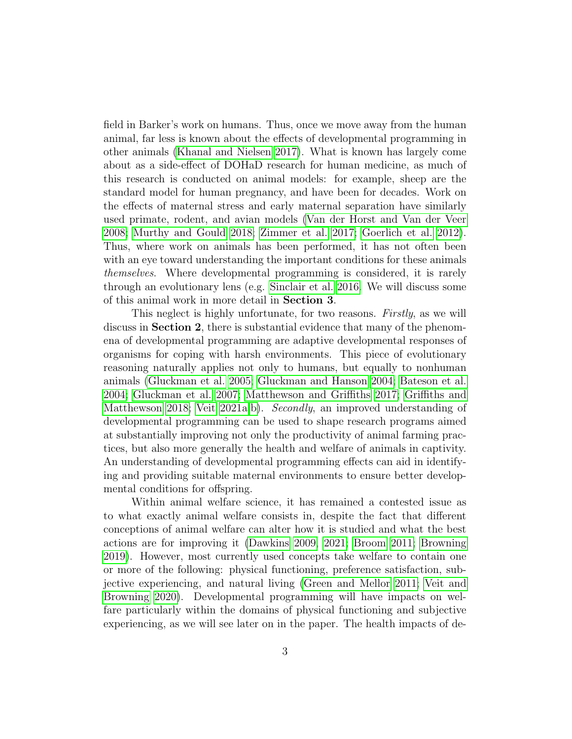field in Barker's work on humans. Thus, once we move away from the human animal, far less is known about the effects of developmental programming in other animals [\(Khanal and Nielsen 2017\)](#page-19-0). What is known has largely come about as a side-effect of DOHaD research for human medicine, as much of this research is conducted on animal models: for example, sheep are the standard model for human pregnancy, and have been for decades. Work on the effects of maternal stress and early maternal separation have similarly used primate, rodent, and avian models [\(Van der Horst and Van der Veer](#page-22-1) [2008;](#page-22-1) [Murthy and Gould 2018;](#page-19-1) [Zimmer et al. 2017;](#page-23-0) [Goerlich et al. 2012\)](#page-17-1). Thus, where work on animals has been performed, it has not often been with an eye toward understanding the important conditions for these animals themselves. Where developmental programming is considered, it is rarely through an evolutionary lens (e.g. [Sinclair et al. 2016.](#page-21-0) We will discuss some of this animal work in more detail in Section 3.

This neglect is highly unfortunate, for two reasons. Firstly, as we will discuss in Section 2, there is substantial evidence that many of the phenomena of developmental programming are adaptive developmental responses of organisms for coping with harsh environments. This piece of evolutionary reasoning naturally applies not only to humans, but equally to nonhuman animals [\(Gluckman et al. 2005;](#page-17-0) [Gluckman and Hanson 2004;](#page-17-2) [Bateson et al.](#page-15-2) [2004;](#page-15-2) [Gluckman et al. 2007;](#page-17-3) [Matthewson and Griffiths 2017;](#page-19-2) [Griffiths and](#page-18-3) [Matthewson 2018;](#page-18-3) [Veit 2021a](#page-22-2)[,b\)](#page-22-3). Secondly, an improved understanding of developmental programming can be used to shape research programs aimed at substantially improving not only the productivity of animal farming practices, but also more generally the health and welfare of animals in captivity. An understanding of developmental programming effects can aid in identifying and providing suitable maternal environments to ensure better developmental conditions for offspring.

Within animal welfare science, it has remained a contested issue as to what exactly animal welfare consists in, despite the fact that different conceptions of animal welfare can alter how it is studied and what the best actions are for improving it [\(Dawkins 2009,](#page-16-0) [2021;](#page-16-1) [Broom 2011;](#page-15-3) [Browning](#page-15-4) [2019\)](#page-15-4). However, most currently used concepts take welfare to contain one or more of the following: physical functioning, preference satisfaction, subjective experiencing, and natural living [\(Green and Mellor 2011;](#page-18-4) [Veit and](#page-22-4) [Browning 2020\)](#page-22-4). Developmental programming will have impacts on welfare particularly within the domains of physical functioning and subjective experiencing, as we will see later on in the paper. The health impacts of de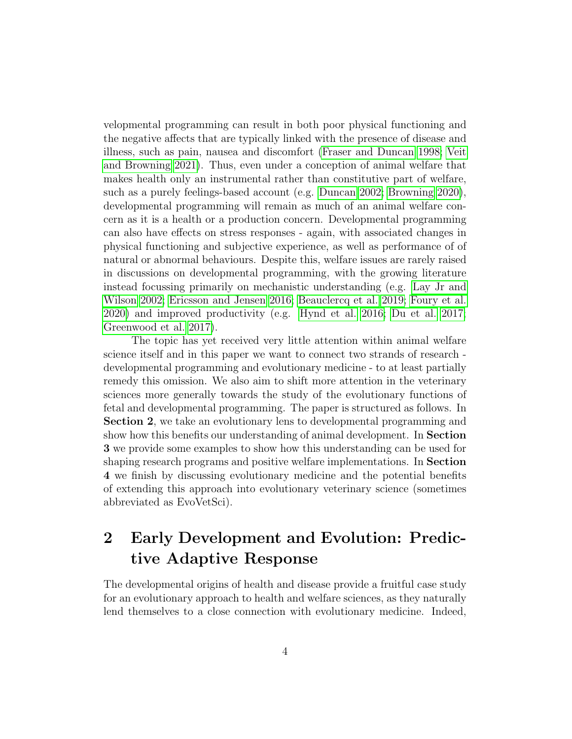velopmental programming can result in both poor physical functioning and the negative affects that are typically linked with the presence of disease and illness, such as pain, nausea and discomfort [\(Fraser and Duncan 1998;](#page-17-4) [Veit](#page-22-5) [and Browning 2021\)](#page-22-5). Thus, even under a conception of animal welfare that makes health only an instrumental rather than constitutive part of welfare, such as a purely feelings-based account (e.g. [Duncan 2002;](#page-16-2) [Browning 2020\)](#page-15-5), developmental programming will remain as much of an animal welfare concern as it is a health or a production concern. Developmental programming can also have effects on stress responses - again, with associated changes in physical functioning and subjective experience, as well as performance of of natural or abnormal behaviours. Despite this, welfare issues are rarely raised in discussions on developmental programming, with the growing literature instead focussing primarily on mechanistic understanding (e.g. [Lay Jr and](#page-19-3) [Wilson 2002;](#page-19-3) [Ericsson and Jensen 2016;](#page-16-3) [Beauclercq et al. 2019;](#page-15-6) [Foury et al.](#page-17-5) [2020\)](#page-17-5) and improved productivity (e.g. [Hynd et al. 2016;](#page-18-5) [Du et al. 2017;](#page-16-4) [Greenwood et al. 2017\)](#page-18-6).

The topic has yet received very little attention within animal welfare science itself and in this paper we want to connect two strands of research developmental programming and evolutionary medicine - to at least partially remedy this omission. We also aim to shift more attention in the veterinary sciences more generally towards the study of the evolutionary functions of fetal and developmental programming. The paper is structured as follows. In Section 2, we take an evolutionary lens to developmental programming and show how this benefits our understanding of animal development. In Section 3 we provide some examples to show how this understanding can be used for shaping research programs and positive welfare implementations. In Section 4 we finish by discussing evolutionary medicine and the potential benefits of extending this approach into evolutionary veterinary science (sometimes abbreviated as EvoVetSci).

### 2 Early Development and Evolution: Predictive Adaptive Response

The developmental origins of health and disease provide a fruitful case study for an evolutionary approach to health and welfare sciences, as they naturally lend themselves to a close connection with evolutionary medicine. Indeed,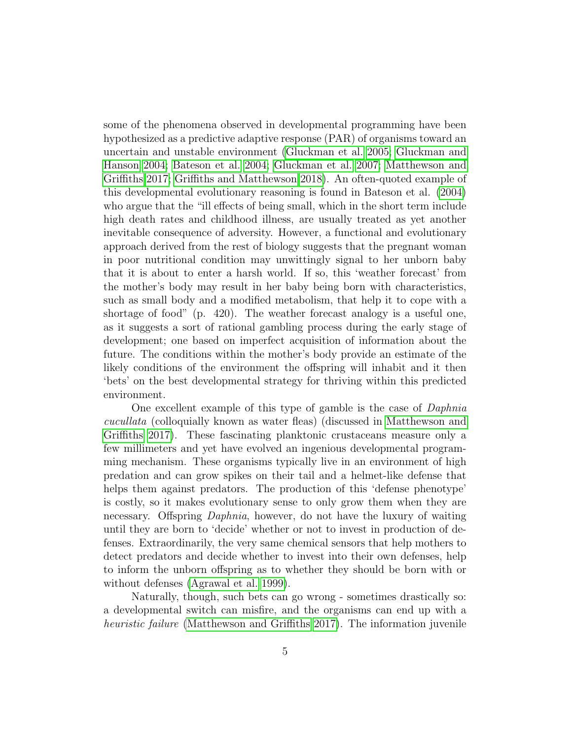some of the phenomena observed in developmental programming have been hypothesized as a predictive adaptive response (PAR) of organisms toward an uncertain and unstable environment [\(Gluckman et al. 2005;](#page-17-0) [Gluckman and](#page-17-2) [Hanson 2004;](#page-17-2) [Bateson et al. 2004;](#page-15-2) [Gluckman et al. 2007;](#page-17-3) [Matthewson and](#page-19-2) [Griffiths 2017;](#page-19-2) [Griffiths and Matthewson 2018\)](#page-18-3). An often-quoted example of this developmental evolutionary reasoning is found in Bateson et al. [\(2004\)](#page-15-2) who argue that the "ill effects of being small, which in the short term include high death rates and childhood illness, are usually treated as yet another inevitable consequence of adversity. However, a functional and evolutionary approach derived from the rest of biology suggests that the pregnant woman in poor nutritional condition may unwittingly signal to her unborn baby that it is about to enter a harsh world. If so, this 'weather forecast' from the mother's body may result in her baby being born with characteristics, such as small body and a modified metabolism, that help it to cope with a shortage of food" (p. 420). The weather forecast analogy is a useful one, as it suggests a sort of rational gambling process during the early stage of development; one based on imperfect acquisition of information about the future. The conditions within the mother's body provide an estimate of the likely conditions of the environment the offspring will inhabit and it then 'bets' on the best developmental strategy for thriving within this predicted environment.

One excellent example of this type of gamble is the case of Daphnia cucullata (colloquially known as water fleas) (discussed in [Matthewson and](#page-19-2) [Griffiths 2017\)](#page-19-2). These fascinating planktonic crustaceans measure only a few millimeters and yet have evolved an ingenious developmental programming mechanism. These organisms typically live in an environment of high predation and can grow spikes on their tail and a helmet-like defense that helps them against predators. The production of this 'defense phenotype' is costly, so it makes evolutionary sense to only grow them when they are necessary. Offspring Daphnia, however, do not have the luxury of waiting until they are born to 'decide' whether or not to invest in production of defenses. Extraordinarily, the very same chemical sensors that help mothers to detect predators and decide whether to invest into their own defenses, help to inform the unborn offspring as to whether they should be born with or without defenses [\(Agrawal et al. 1999\)](#page-14-2).

Naturally, though, such bets can go wrong - sometimes drastically so: a developmental switch can misfire, and the organisms can end up with a heuristic failure [\(Matthewson and Griffiths 2017\)](#page-19-2). The information juvenile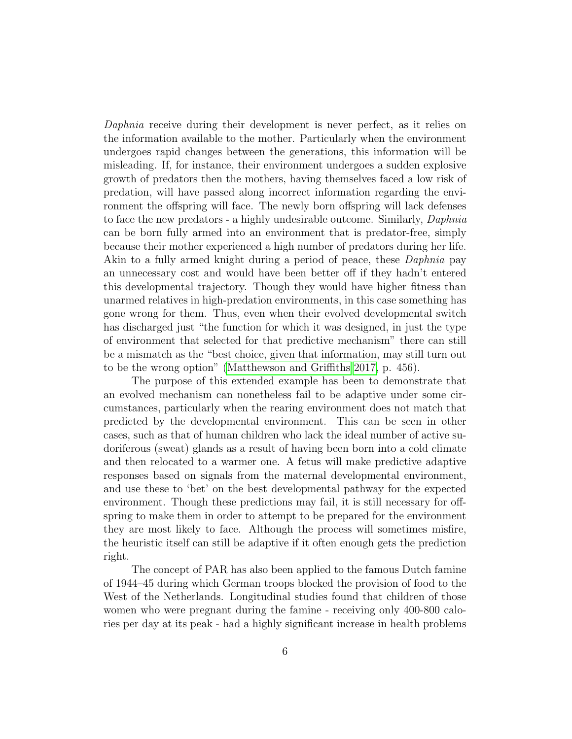Daphnia receive during their development is never perfect, as it relies on the information available to the mother. Particularly when the environment undergoes rapid changes between the generations, this information will be misleading. If, for instance, their environment undergoes a sudden explosive growth of predators then the mothers, having themselves faced a low risk of predation, will have passed along incorrect information regarding the environment the offspring will face. The newly born offspring will lack defenses to face the new predators - a highly undesirable outcome. Similarly, Daphnia can be born fully armed into an environment that is predator-free, simply because their mother experienced a high number of predators during her life. Akin to a fully armed knight during a period of peace, these Daphnia pay an unnecessary cost and would have been better off if they hadn't entered this developmental trajectory. Though they would have higher fitness than unarmed relatives in high-predation environments, in this case something has gone wrong for them. Thus, even when their evolved developmental switch has discharged just "the function for which it was designed, in just the type of environment that selected for that predictive mechanism" there can still be a mismatch as the "best choice, given that information, may still turn out to be the wrong option" [\(Matthewson and Griffiths 2017,](#page-19-2) p. 456).

The purpose of this extended example has been to demonstrate that an evolved mechanism can nonetheless fail to be adaptive under some circumstances, particularly when the rearing environment does not match that predicted by the developmental environment. This can be seen in other cases, such as that of human children who lack the ideal number of active sudoriferous (sweat) glands as a result of having been born into a cold climate and then relocated to a warmer one. A fetus will make predictive adaptive responses based on signals from the maternal developmental environment, and use these to 'bet' on the best developmental pathway for the expected environment. Though these predictions may fail, it is still necessary for offspring to make them in order to attempt to be prepared for the environment they are most likely to face. Although the process will sometimes misfire, the heuristic itself can still be adaptive if it often enough gets the prediction right.

The concept of PAR has also been applied to the famous Dutch famine of 1944–45 during which German troops blocked the provision of food to the West of the Netherlands. Longitudinal studies found that children of those women who were pregnant during the famine - receiving only 400-800 calories per day at its peak - had a highly significant increase in health problems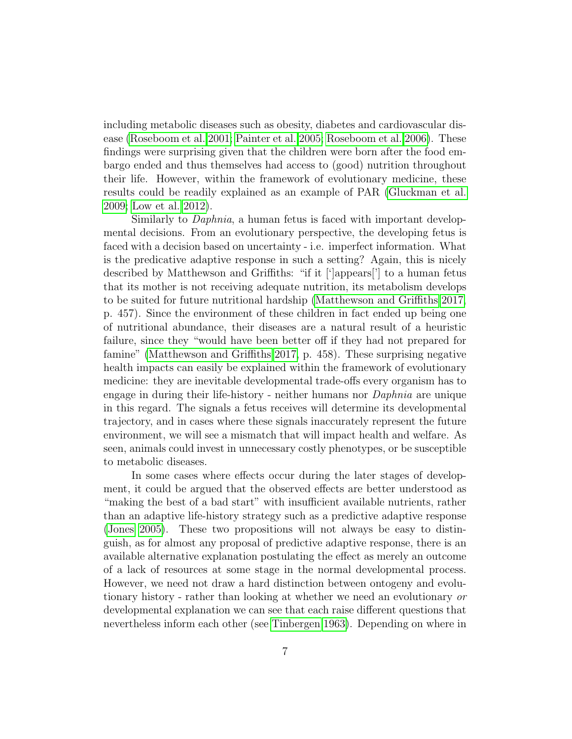including metabolic diseases such as obesity, diabetes and cardiovascular disease [\(Roseboom et al. 2001;](#page-21-1) [Painter et al. 2005;](#page-20-0) [Roseboom et al. 2006\)](#page-21-2). These findings were surprising given that the children were born after the food embargo ended and thus themselves had access to (good) nutrition throughout their life. However, within the framework of evolutionary medicine, these results could be readily explained as an example of PAR [\(Gluckman et al.](#page-17-6) [2009;](#page-17-6) [Low et al. 2012\)](#page-19-4).

Similarly to *Daphnia*, a human fetus is faced with important developmental decisions. From an evolutionary perspective, the developing fetus is faced with a decision based on uncertainty - i.e. imperfect information. What is the predicative adaptive response in such a setting? Again, this is nicely described by Matthewson and Griffiths: "if it ['|appears]' to a human fetus that its mother is not receiving adequate nutrition, its metabolism develops to be suited for future nutritional hardship [\(Matthewson and Griffiths 2017,](#page-19-2) p. 457). Since the environment of these children in fact ended up being one of nutritional abundance, their diseases are a natural result of a heuristic failure, since they "would have been better off if they had not prepared for famine" [\(Matthewson and Griffiths 2017,](#page-19-2) p. 458). These surprising negative health impacts can easily be explained within the framework of evolutionary medicine: they are inevitable developmental trade-offs every organism has to engage in during their life-history - neither humans nor Daphnia are unique in this regard. The signals a fetus receives will determine its developmental trajectory, and in cases where these signals inaccurately represent the future environment, we will see a mismatch that will impact health and welfare. As seen, animals could invest in unnecessary costly phenotypes, or be susceptible to metabolic diseases.

In some cases where effects occur during the later stages of development, it could be argued that the observed effects are better understood as "making the best of a bad start" with insufficient available nutrients, rather than an adaptive life-history strategy such as a predictive adaptive response [\(Jones 2005\)](#page-18-7). These two propositions will not always be easy to distinguish, as for almost any proposal of predictive adaptive response, there is an available alternative explanation postulating the effect as merely an outcome of a lack of resources at some stage in the normal developmental process. However, we need not draw a hard distinction between ontogeny and evolutionary history - rather than looking at whether we need an evolutionary or developmental explanation we can see that each raise different questions that nevertheless inform each other (see [Tinbergen 1963\)](#page-22-6). Depending on where in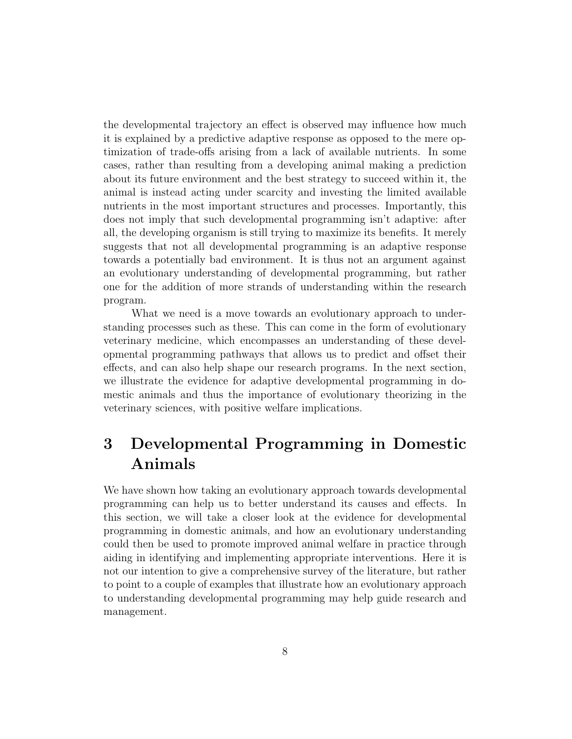the developmental trajectory an effect is observed may influence how much it is explained by a predictive adaptive response as opposed to the mere optimization of trade-offs arising from a lack of available nutrients. In some cases, rather than resulting from a developing animal making a prediction about its future environment and the best strategy to succeed within it, the animal is instead acting under scarcity and investing the limited available nutrients in the most important structures and processes. Importantly, this does not imply that such developmental programming isn't adaptive: after all, the developing organism is still trying to maximize its benefits. It merely suggests that not all developmental programming is an adaptive response towards a potentially bad environment. It is thus not an argument against an evolutionary understanding of developmental programming, but rather one for the addition of more strands of understanding within the research program.

What we need is a move towards an evolutionary approach to understanding processes such as these. This can come in the form of evolutionary veterinary medicine, which encompasses an understanding of these developmental programming pathways that allows us to predict and offset their effects, and can also help shape our research programs. In the next section, we illustrate the evidence for adaptive developmental programming in domestic animals and thus the importance of evolutionary theorizing in the veterinary sciences, with positive welfare implications.

## 3 Developmental Programming in Domestic Animals

We have shown how taking an evolutionary approach towards developmental programming can help us to better understand its causes and effects. In this section, we will take a closer look at the evidence for developmental programming in domestic animals, and how an evolutionary understanding could then be used to promote improved animal welfare in practice through aiding in identifying and implementing appropriate interventions. Here it is not our intention to give a comprehensive survey of the literature, but rather to point to a couple of examples that illustrate how an evolutionary approach to understanding developmental programming may help guide research and management.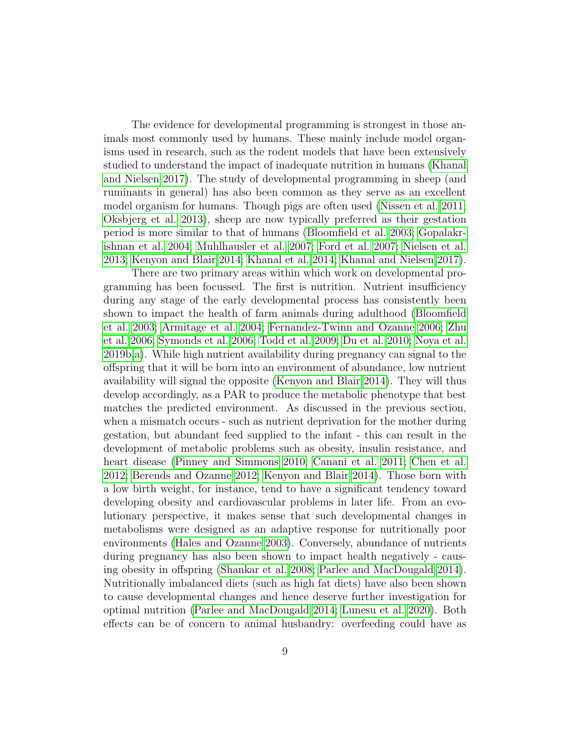The evidence for developmental programming is strongest in those animals most commonly used by humans. These mainly include model organisms used in research, such as the rodent models that have been extensively studied to understand the impact of inadequate nutrition in humans [\(Khanal](#page-19-0) [and Nielsen 2017\)](#page-19-0). The study of developmental programming in sheep (and ruminants in general) has also been common as they serve as an excellent model organism for humans. Though pigs are often used [\(Nissen et al. 2011;](#page-20-1) [Oksbjerg et al. 2013\)](#page-20-2), sheep are now typically preferred as their gestation period is more similar to that of humans [\(Bloomfield et al. 2003;](#page-15-7) [Gopalakr](#page-17-7)[ishnan et al. 2004;](#page-17-7) [Muhlhausler et al. 2007;](#page-19-5) [Ford et al. 2007;](#page-17-8) [Nielsen et al.](#page-20-3) [2013;](#page-20-3) [Kenyon and Blair 2014;](#page-18-8) [Khanal et al. 2014;](#page-18-9) [Khanal and Nielsen 2017\)](#page-19-0).

There are two primary areas within which work on developmental programming has been focussed. The first is nutrition. Nutrient insufficiency during any stage of the early developmental process has consistently been shown to impact the health of farm animals during adulthood [\(Bloomfield](#page-15-7) [et al. 2003;](#page-15-7) [Armitage et al. 2004;](#page-14-3) [Fernandez-Twinn and Ozanne 2006;](#page-17-9) [Zhu](#page-23-1) [et al. 2006;](#page-23-1) [Symonds et al. 2006;](#page-22-7) [Todd et al. 2009;](#page-22-8) [Du et al. 2010;](#page-16-5) [Noya et al.](#page-20-4) [2019b,](#page-20-4)[a\)](#page-20-5). While high nutrient availability during pregnancy can signal to the offspring that it will be born into an environment of abundance, low nutrient availability will signal the opposite [\(Kenyon and Blair 2014\)](#page-18-8). They will thus develop accordingly, as a PAR to produce the metabolic phenotype that best matches the predicted environment. As discussed in the previous section, when a mismatch occurs - such as nutrient deprivation for the mother during gestation, but abundant feed supplied to the infant - this can result in the development of metabolic problems such as obesity, insulin resistance, and heart disease [\(Pinney and Simmons 2010;](#page-20-6) [Canani et al. 2011;](#page-16-6) [Chen et al.](#page-16-7) [2012;](#page-16-7) [Berends and Ozanne 2012;](#page-15-8) [Kenyon and Blair 2014\)](#page-18-8). Those born with a low birth weight, for instance, tend to have a significant tendency toward developing obesity and cardiovascular problems in later life. From an evolutionary perspective, it makes sense that such developmental changes in metabolisms were designed as an adaptive response for nutritionally poor environments [\(Hales and Ozanne 2003\)](#page-18-10). Conversely, abundance of nutrients during pregnancy has also been shown to impact health negatively - causing obesity in offspring [\(Shankar et al. 2008;](#page-21-3) [Parlee and MacDougald 2014\)](#page-20-7). Nutritionally imbalanced diets (such as high fat diets) have also been shown to cause developmental changes and hence deserve further investigation for optimal nutrition [\(Parlee and MacDougald 2014;](#page-20-7) [Lunesu et al. 2020\)](#page-19-6). Both effects can be of concern to animal husbandry: overfeeding could have as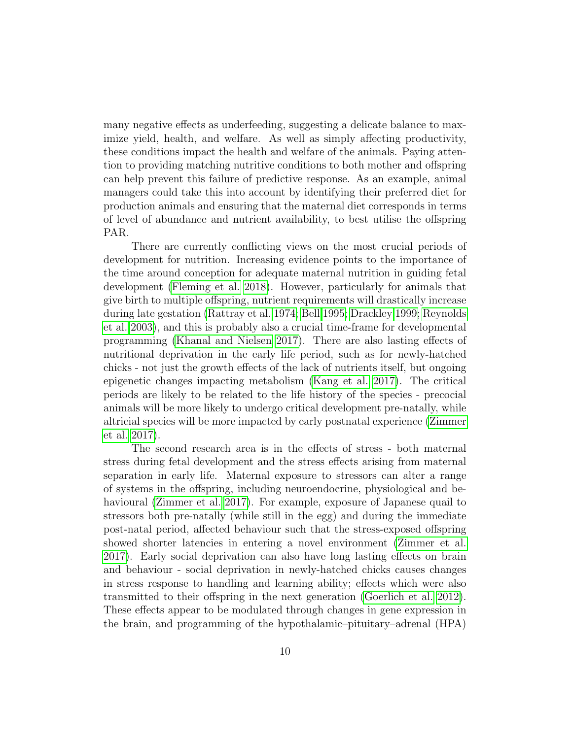many negative effects as underfeeding, suggesting a delicate balance to maximize yield, health, and welfare. As well as simply affecting productivity, these conditions impact the health and welfare of the animals. Paying attention to providing matching nutritive conditions to both mother and offspring can help prevent this failure of predictive response. As an example, animal managers could take this into account by identifying their preferred diet for production animals and ensuring that the maternal diet corresponds in terms of level of abundance and nutrient availability, to best utilise the offspring PAR.

There are currently conflicting views on the most crucial periods of development for nutrition. Increasing evidence points to the importance of the time around conception for adequate maternal nutrition in guiding fetal development [\(Fleming et al. 2018\)](#page-17-10). However, particularly for animals that give birth to multiple offspring, nutrient requirements will drastically increase during late gestation [\(Rattray et al. 1974;](#page-21-4) [Bell 1995;](#page-15-9) [Drackley 1999;](#page-16-8) [Reynolds](#page-21-5) [et al. 2003\)](#page-21-5), and this is probably also a crucial time-frame for developmental programming [\(Khanal and Nielsen 2017\)](#page-19-0). There are also lasting effects of nutritional deprivation in the early life period, such as for newly-hatched chicks - not just the growth effects of the lack of nutrients itself, but ongoing epigenetic changes impacting metabolism [\(Kang et al. 2017\)](#page-18-11). The critical periods are likely to be related to the life history of the species - precocial animals will be more likely to undergo critical development pre-natally, while altricial species will be more impacted by early postnatal experience [\(Zimmer](#page-23-0) [et al. 2017\)](#page-23-0).

The second research area is in the effects of stress - both maternal stress during fetal development and the stress effects arising from maternal separation in early life. Maternal exposure to stressors can alter a range of systems in the offspring, including neuroendocrine, physiological and behavioural [\(Zimmer et al. 2017\)](#page-23-0). For example, exposure of Japanese quail to stressors both pre-natally (while still in the egg) and during the immediate post-natal period, affected behaviour such that the stress-exposed offspring showed shorter latencies in entering a novel environment [\(Zimmer et al.](#page-23-0) [2017\)](#page-23-0). Early social deprivation can also have long lasting effects on brain and behaviour - social deprivation in newly-hatched chicks causes changes in stress response to handling and learning ability; effects which were also transmitted to their offspring in the next generation [\(Goerlich et al. 2012\)](#page-17-1). These effects appear to be modulated through changes in gene expression in the brain, and programming of the hypothalamic–pituitary–adrenal (HPA)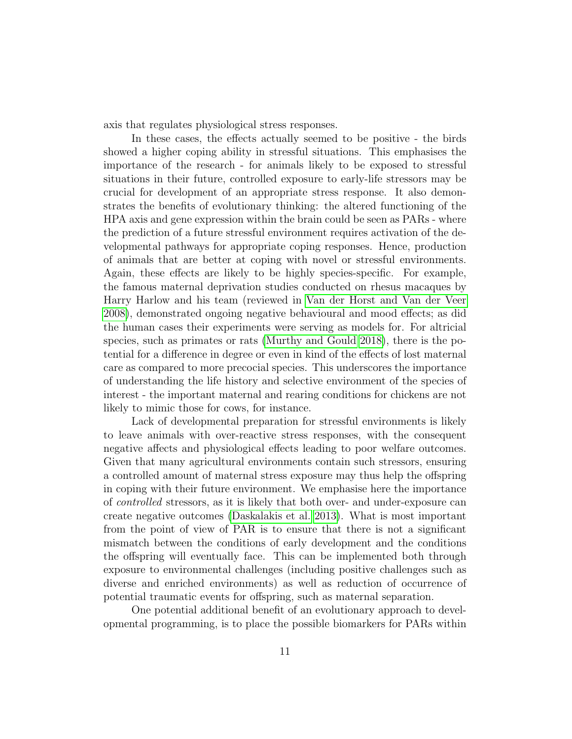axis that regulates physiological stress responses.

In these cases, the effects actually seemed to be positive - the birds showed a higher coping ability in stressful situations. This emphasises the importance of the research - for animals likely to be exposed to stressful situations in their future, controlled exposure to early-life stressors may be crucial for development of an appropriate stress response. It also demonstrates the benefits of evolutionary thinking: the altered functioning of the HPA axis and gene expression within the brain could be seen as PARs - where the prediction of a future stressful environment requires activation of the developmental pathways for appropriate coping responses. Hence, production of animals that are better at coping with novel or stressful environments. Again, these effects are likely to be highly species-specific. For example, the famous maternal deprivation studies conducted on rhesus macaques by Harry Harlow and his team (reviewed in [Van der Horst and Van der Veer](#page-22-1) [2008\)](#page-22-1), demonstrated ongoing negative behavioural and mood effects; as did the human cases their experiments were serving as models for. For altricial species, such as primates or rats [\(Murthy and Gould 2018\)](#page-19-1), there is the potential for a difference in degree or even in kind of the effects of lost maternal care as compared to more precocial species. This underscores the importance of understanding the life history and selective environment of the species of interest - the important maternal and rearing conditions for chickens are not likely to mimic those for cows, for instance.

Lack of developmental preparation for stressful environments is likely to leave animals with over-reactive stress responses, with the consequent negative affects and physiological effects leading to poor welfare outcomes. Given that many agricultural environments contain such stressors, ensuring a controlled amount of maternal stress exposure may thus help the offspring in coping with their future environment. We emphasise here the importance of controlled stressors, as it is likely that both over- and under-exposure can create negative outcomes [\(Daskalakis et al. 2013\)](#page-16-9). What is most important from the point of view of PAR is to ensure that there is not a significant mismatch between the conditions of early development and the conditions the offspring will eventually face. This can be implemented both through exposure to environmental challenges (including positive challenges such as diverse and enriched environments) as well as reduction of occurrence of potential traumatic events for offspring, such as maternal separation.

One potential additional benefit of an evolutionary approach to developmental programming, is to place the possible biomarkers for PARs within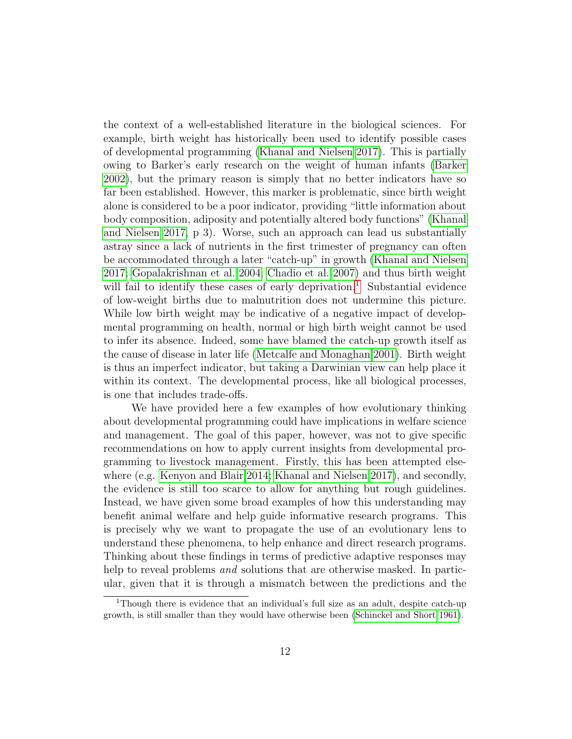the context of a well-established literature in the biological sciences. For example, birth weight has historically been used to identify possible cases of developmental programming [\(Khanal and Nielsen 2017\)](#page-19-0). This is partially owing to Barker's early research on the weight of human infants [\(Barker](#page-15-10) [2002\)](#page-15-10), but the primary reason is simply that no better indicators have so far been established. However, this marker is problematic, since birth weight alone is considered to be a poor indicator, providing "little information about body composition, adiposity and potentially altered body functions" [\(Khanal](#page-19-0) [and Nielsen 2017,](#page-19-0) p 3). Worse, such an approach can lead us substantially astray since a lack of nutrients in the first trimester of pregnancy can often be accommodated through a later "catch-up" in growth [\(Khanal and Nielsen](#page-19-0) [2017;](#page-19-0) [Gopalakrishnan et al. 2004;](#page-17-7) [Chadio et al. 2007\)](#page-16-10) and thus birth weight will fail to identify these cases of early deprivation.<sup>[1](#page-11-0)</sup> Substantial evidence of low-weight births due to malnutrition does not undermine this picture. While low birth weight may be indicative of a negative impact of developmental programming on health, normal or high birth weight cannot be used to infer its absence. Indeed, some have blamed the catch-up growth itself as the cause of disease in later life [\(Metcalfe and Monaghan 2001\)](#page-19-7). Birth weight is thus an imperfect indicator, but taking a Darwinian view can help place it within its context. The developmental process, like all biological processes, is one that includes trade-offs.

We have provided here a few examples of how evolutionary thinking about developmental programming could have implications in welfare science and management. The goal of this paper, however, was not to give specific recommendations on how to apply current insights from developmental programming to livestock management. Firstly, this has been attempted elsewhere (e.g. [Kenyon and Blair 2014;](#page-18-8) [Khanal and Nielsen 2017\)](#page-19-0), and secondly, the evidence is still too scarce to allow for anything but rough guidelines. Instead, we have given some broad examples of how this understanding may benefit animal welfare and help guide informative research programs. This is precisely why we want to propagate the use of an evolutionary lens to understand these phenomena, to help enhance and direct research programs. Thinking about these findings in terms of predictive adaptive responses may help to reveal problems *and* solutions that are otherwise masked. In particular, given that it is through a mismatch between the predictions and the

<span id="page-11-0"></span><sup>1</sup>Though there is evidence that an individual's full size as an adult, despite catch-up growth, is still smaller than they would have otherwise been [\(Schinckel and Short 1961\)](#page-21-6).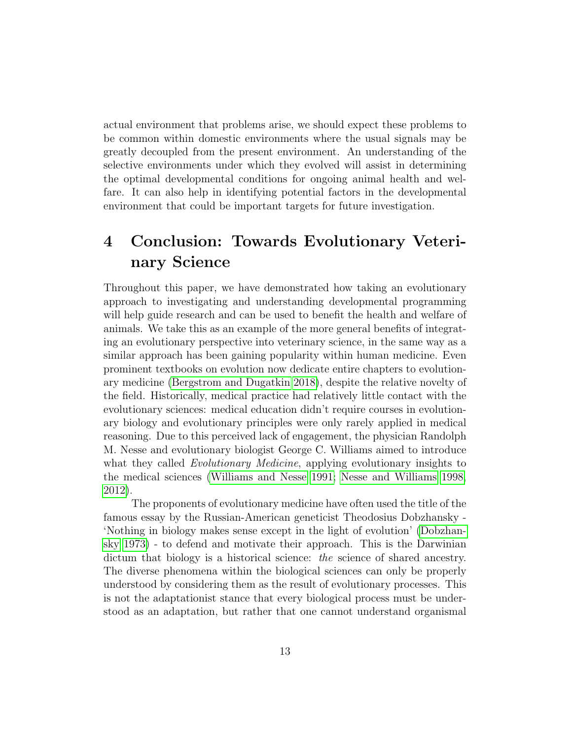actual environment that problems arise, we should expect these problems to be common within domestic environments where the usual signals may be greatly decoupled from the present environment. An understanding of the selective environments under which they evolved will assist in determining the optimal developmental conditions for ongoing animal health and welfare. It can also help in identifying potential factors in the developmental environment that could be important targets for future investigation.

# 4 Conclusion: Towards Evolutionary Veterinary Science

Throughout this paper, we have demonstrated how taking an evolutionary approach to investigating and understanding developmental programming will help guide research and can be used to benefit the health and welfare of animals. We take this as an example of the more general benefits of integrating an evolutionary perspective into veterinary science, in the same way as a similar approach has been gaining popularity within human medicine. Even prominent textbooks on evolution now dedicate entire chapters to evolutionary medicine [\(Bergstrom and Dugatkin 2018\)](#page-15-11), despite the relative novelty of the field. Historically, medical practice had relatively little contact with the evolutionary sciences: medical education didn't require courses in evolutionary biology and evolutionary principles were only rarely applied in medical reasoning. Due to this perceived lack of engagement, the physician Randolph M. Nesse and evolutionary biologist George C. Williams aimed to introduce what they called *Evolutionary Medicine*, applying evolutionary insights to the medical sciences [\(Williams and Nesse 1991;](#page-23-2) [Nesse and Williams 1998,](#page-20-8) [2012\)](#page-20-9).

The proponents of evolutionary medicine have often used the title of the famous essay by the Russian-American geneticist Theodosius Dobzhansky - 'Nothing in biology makes sense except in the light of evolution' [\(Dobzhan](#page-16-11)[sky 1973\)](#page-16-11) - to defend and motivate their approach. This is the Darwinian dictum that biology is a historical science: the science of shared ancestry. The diverse phenomena within the biological sciences can only be properly understood by considering them as the result of evolutionary processes. This is not the adaptationist stance that every biological process must be understood as an adaptation, but rather that one cannot understand organismal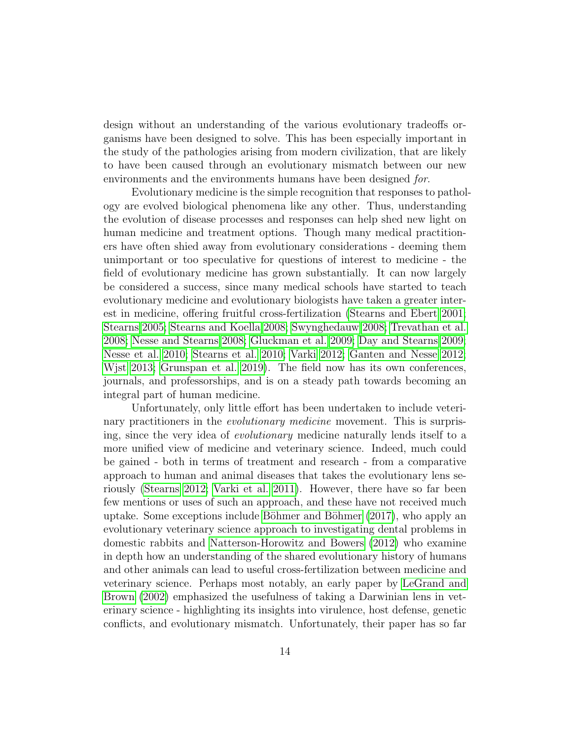design without an understanding of the various evolutionary tradeoffs organisms have been designed to solve. This has been especially important in the study of the pathologies arising from modern civilization, that are likely to have been caused through an evolutionary mismatch between our new environments and the environments humans have been designed for.

Evolutionary medicine is the simple recognition that responses to pathology are evolved biological phenomena like any other. Thus, understanding the evolution of disease processes and responses can help shed new light on human medicine and treatment options. Though many medical practitioners have often shied away from evolutionary considerations - deeming them unimportant or too speculative for questions of interest to medicine - the field of evolutionary medicine has grown substantially. It can now largely be considered a success, since many medical schools have started to teach evolutionary medicine and evolutionary biologists have taken a greater interest in medicine, offering fruitful cross-fertilization [\(Stearns and Ebert 2001;](#page-21-7) [Stearns 2005;](#page-21-8) [Stearns and Koella 2008;](#page-21-9) [Swynghedauw 2008;](#page-22-9) [Trevathan et al.](#page-22-10) [2008;](#page-22-10) [Nesse and Stearns 2008;](#page-19-8) [Gluckman et al. 2009;](#page-17-6) [Day and Stearns 2009;](#page-16-12) [Nesse et al. 2010;](#page-19-9) [Stearns et al. 2010;](#page-21-10) [Varki 2012;](#page-22-11) [Ganten and Nesse 2012;](#page-17-11) [Wjst 2013;](#page-23-3) [Grunspan et al. 2019\)](#page-18-12). The field now has its own conferences, journals, and professorships, and is on a steady path towards becoming an integral part of human medicine.

Unfortunately, only little effort has been undertaken to include veterinary practitioners in the *evolutionary medicine* movement. This is surprising, since the very idea of evolutionary medicine naturally lends itself to a more unified view of medicine and veterinary science. Indeed, much could be gained - both in terms of treatment and research - from a comparative approach to human and animal diseases that takes the evolutionary lens seriously [\(Stearns 2012;](#page-21-11) [Varki et al. 2011\)](#page-22-12). However, there have so far been few mentions or uses of such an approach, and these have not received much uptake. Some exceptions include Böhmer and Böhmer  $(2017)$ , who apply an evolutionary veterinary science approach to investigating dental problems in domestic rabbits and [Natterson-Horowitz and Bowers](#page-19-10) [\(2012\)](#page-19-10) who examine in depth how an understanding of the shared evolutionary history of humans and other animals can lead to useful cross-fertilization between medicine and veterinary science. Perhaps most notably, an early paper by [LeGrand and](#page-19-11) [Brown](#page-19-11) [\(2002\)](#page-19-11) emphasized the usefulness of taking a Darwinian lens in veterinary science - highlighting its insights into virulence, host defense, genetic conflicts, and evolutionary mismatch. Unfortunately, their paper has so far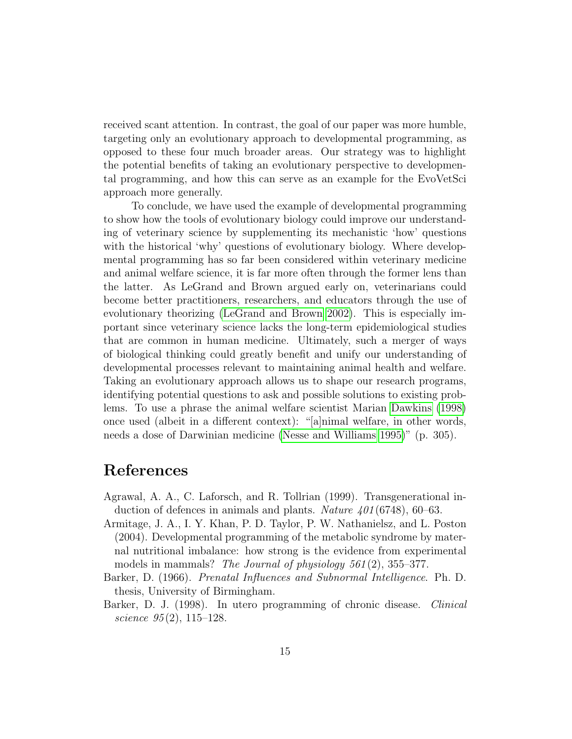received scant attention. In contrast, the goal of our paper was more humble, targeting only an evolutionary approach to developmental programming, as opposed to these four much broader areas. Our strategy was to highlight the potential benefits of taking an evolutionary perspective to developmental programming, and how this can serve as an example for the EvoVetSci approach more generally.

To conclude, we have used the example of developmental programming to show how the tools of evolutionary biology could improve our understanding of veterinary science by supplementing its mechanistic 'how' questions with the historical 'why' questions of evolutionary biology. Where developmental programming has so far been considered within veterinary medicine and animal welfare science, it is far more often through the former lens than the latter. As LeGrand and Brown argued early on, veterinarians could become better practitioners, researchers, and educators through the use of evolutionary theorizing [\(LeGrand and Brown 2002\)](#page-19-11). This is especially important since veterinary science lacks the long-term epidemiological studies that are common in human medicine. Ultimately, such a merger of ways of biological thinking could greatly benefit and unify our understanding of developmental processes relevant to maintaining animal health and welfare. Taking an evolutionary approach allows us to shape our research programs, identifying potential questions to ask and possible solutions to existing problems. To use a phrase the animal welfare scientist Marian [Dawkins](#page-16-13) [\(1998\)](#page-16-13) once used (albeit in a different context): "[a]nimal welfare, in other words, needs a dose of Darwinian medicine [\(Nesse and Williams 1995\)](#page-20-10)" (p. 305).

#### References

- <span id="page-14-2"></span>Agrawal, A. A., C. Laforsch, and R. Tollrian (1999). Transgenerational induction of defences in animals and plants. Nature  $401(6748)$ , 60–63.
- <span id="page-14-3"></span>Armitage, J. A., I. Y. Khan, P. D. Taylor, P. W. Nathanielsz, and L. Poston (2004). Developmental programming of the metabolic syndrome by maternal nutritional imbalance: how strong is the evidence from experimental models in mammals? The Journal of physiology 561(2), 355–377.
- <span id="page-14-1"></span>Barker, D. (1966). Prenatal Influences and Subnormal Intelligence. Ph. D. thesis, University of Birmingham.
- <span id="page-14-0"></span>Barker, D. J. (1998). In utero programming of chronic disease. *Clinical* science  $95(2)$ , 115–128.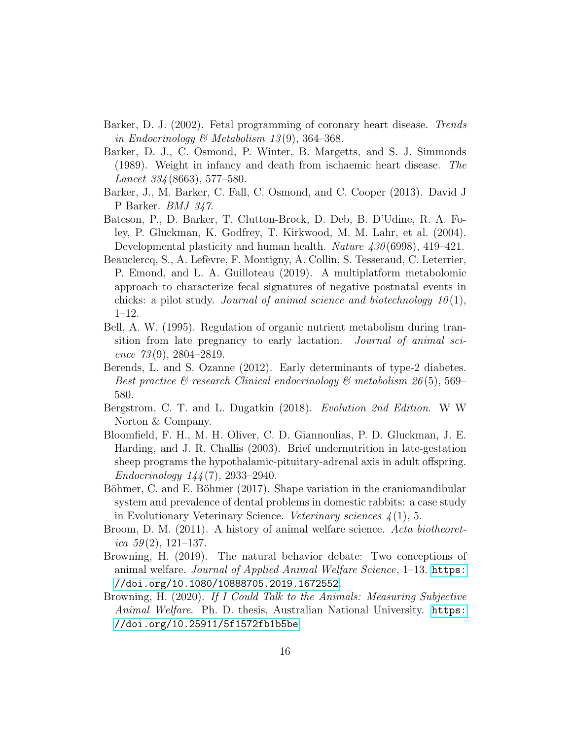- <span id="page-15-10"></span>Barker, D. J. (2002). Fetal programming of coronary heart disease. Trends in Endocrinology & Metabolism 13(9), 364–368.
- <span id="page-15-1"></span>Barker, D. J., C. Osmond, P. Winter, B. Margetts, and S. J. Simmonds (1989). Weight in infancy and death from ischaemic heart disease. The Lancet 334 (8663), 577–580.
- <span id="page-15-0"></span>Barker, J., M. Barker, C. Fall, C. Osmond, and C. Cooper (2013). David J P Barker. BMJ 347.
- <span id="page-15-2"></span>Bateson, P., D. Barker, T. Clutton-Brock, D. Deb, B. D'Udine, R. A. Foley, P. Gluckman, K. Godfrey, T. Kirkwood, M. M. Lahr, et al. (2004). Developmental plasticity and human health. *Nature 430* (6998), 419–421.
- <span id="page-15-6"></span>Beauclercq, S., A. Lefèvre, F. Montigny, A. Collin, S. Tesseraud, C. Leterrier, P. Emond, and L. A. Guilloteau (2019). A multiplatform metabolomic approach to characterize fecal signatures of negative postnatal events in chicks: a pilot study. Journal of animal science and biotechnology  $10(1)$ , 1–12.
- <span id="page-15-9"></span>Bell, A. W. (1995). Regulation of organic nutrient metabolism during transition from late pregnancy to early lactation. Journal of animal science  $73(9)$ , 2804–2819.
- <span id="page-15-8"></span>Berends, L. and S. Ozanne (2012). Early determinants of type-2 diabetes. Best practice  $\mathcal C$  research Clinical endocrinology  $\mathcal C$  metabolism 26(5), 569– 580.
- <span id="page-15-11"></span>Bergstrom, C. T. and L. Dugatkin (2018). Evolution 2nd Edition. W W Norton & Company.
- <span id="page-15-7"></span>Bloomfield, F. H., M. H. Oliver, C. D. Giannoulias, P. D. Gluckman, J. E. Harding, and J. R. Challis (2003). Brief undernutrition in late-gestation sheep programs the hypothalamic-pituitary-adrenal axis in adult offspring. Endocrinology 144 (7), 2933–2940.
- <span id="page-15-12"></span>Böhmer, C. and E. Böhmer (2017). Shape variation in the craniomandibular system and prevalence of dental problems in domestic rabbits: a case study in Evolutionary Veterinary Science. *Veterinary sciences*  $\chi(1)$ , 5.
- <span id="page-15-3"></span>Broom, D. M. (2011). A history of animal welfare science. Acta biotheoretica  $59(2)$ , 121-137.
- <span id="page-15-4"></span>Browning, H. (2019). The natural behavior debate: Two conceptions of animal welfare. Journal of Applied Animal Welfare Science, 1–13. [https:](https://doi.org/10.1080/10888705.2019.1672552) [//doi.org/10.1080/10888705.2019.1672552](https://doi.org/10.1080/10888705.2019.1672552).
- <span id="page-15-5"></span>Browning, H. (2020). If I Could Talk to the Animals: Measuring Subjective Animal Welfare. Ph. D. thesis, Australian National University. [https:](https://doi.org/10.25911/5f1572fb1b5be) [//doi.org/10.25911/5f1572fb1b5be](https://doi.org/10.25911/5f1572fb1b5be).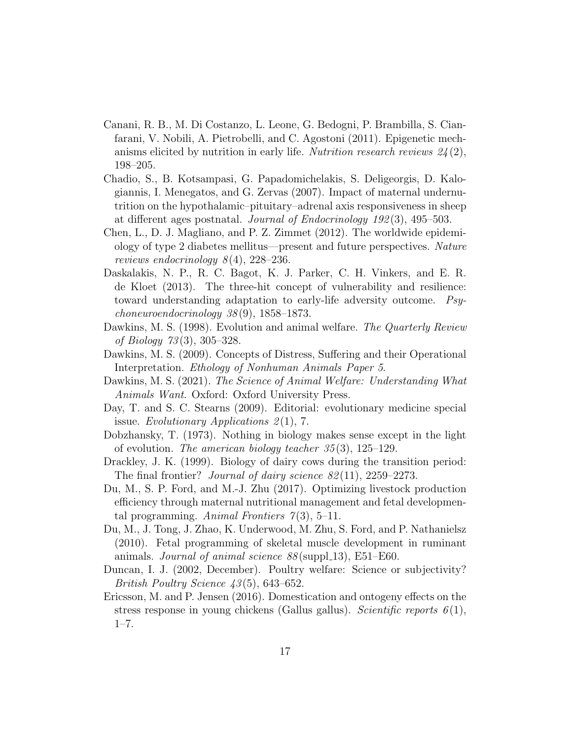- <span id="page-16-6"></span>Canani, R. B., M. Di Costanzo, L. Leone, G. Bedogni, P. Brambilla, S. Cianfarani, V. Nobili, A. Pietrobelli, and C. Agostoni (2011). Epigenetic mechanisms elicited by nutrition in early life. Nutrition research reviews  $24(2)$ , 198–205.
- <span id="page-16-10"></span>Chadio, S., B. Kotsampasi, G. Papadomichelakis, S. Deligeorgis, D. Kalogiannis, I. Menegatos, and G. Zervas (2007). Impact of maternal undernutrition on the hypothalamic–pituitary–adrenal axis responsiveness in sheep at different ages postnatal. Journal of Endocrinology 192 (3), 495–503.
- <span id="page-16-7"></span>Chen, L., D. J. Magliano, and P. Z. Zimmet (2012). The worldwide epidemiology of type 2 diabetes mellitus—present and future perspectives. Nature reviews endocrinology  $8(4)$ , 228–236.
- <span id="page-16-9"></span>Daskalakis, N. P., R. C. Bagot, K. J. Parker, C. H. Vinkers, and E. R. de Kloet (2013). The three-hit concept of vulnerability and resilience: toward understanding adaptation to early-life adversity outcome. Psychoneuroendocrinology 38 (9), 1858–1873.
- <span id="page-16-13"></span>Dawkins, M. S. (1998). Evolution and animal welfare. The Quarterly Review of Biology 73 (3), 305–328.
- <span id="page-16-0"></span>Dawkins, M. S. (2009). Concepts of Distress, Suffering and their Operational Interpretation. Ethology of Nonhuman Animals Paper 5.
- <span id="page-16-1"></span>Dawkins, M. S. (2021). The Science of Animal Welfare: Understanding What Animals Want. Oxford: Oxford University Press.
- <span id="page-16-12"></span>Day, T. and S. C. Stearns (2009). Editorial: evolutionary medicine special issue. Evolutionary Applications  $2(1)$ , 7.
- <span id="page-16-11"></span>Dobzhansky, T. (1973). Nothing in biology makes sense except in the light of evolution. The american biology teacher  $35(3)$ , 125–129.
- <span id="page-16-8"></span>Drackley, J. K. (1999). Biology of dairy cows during the transition period: The final frontier? *Journal of dairy science*  $82(11)$ ,  $2259-2273$ .
- <span id="page-16-4"></span>Du, M., S. P. Ford, and M.-J. Zhu (2017). Optimizing livestock production efficiency through maternal nutritional management and fetal developmental programming. Animal Frontiers  $\mathcal{I}(3)$ , 5–11.
- <span id="page-16-5"></span>Du, M., J. Tong, J. Zhao, K. Underwood, M. Zhu, S. Ford, and P. Nathanielsz (2010). Fetal programming of skeletal muscle development in ruminant animals. Journal of animal science  $88 \text{(supp1.13)}$ , E51–E60.
- <span id="page-16-2"></span>Duncan, I. J. (2002, December). Poultry welfare: Science or subjectivity? British Poultry Science 43 (5), 643–652.
- <span id="page-16-3"></span>Ericsson, M. and P. Jensen (2016). Domestication and ontogeny effects on the stress response in young chickens (Gallus gallus). Scientific reports  $6(1)$ , 1–7.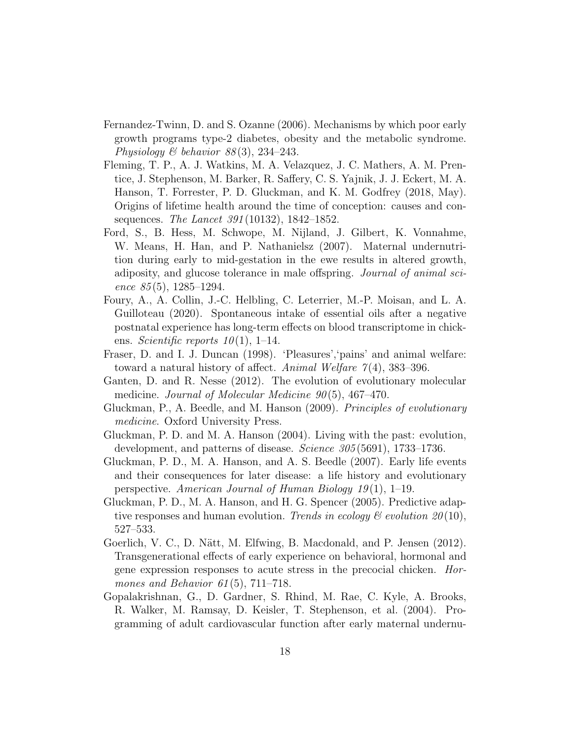- <span id="page-17-9"></span>Fernandez-Twinn, D. and S. Ozanne (2006). Mechanisms by which poor early growth programs type-2 diabetes, obesity and the metabolic syndrome. Physiology  $\mathcal B$  behavior  $88(3)$ , 234–243.
- <span id="page-17-10"></span>Fleming, T. P., A. J. Watkins, M. A. Velazquez, J. C. Mathers, A. M. Prentice, J. Stephenson, M. Barker, R. Saffery, C. S. Yajnik, J. J. Eckert, M. A. Hanson, T. Forrester, P. D. Gluckman, and K. M. Godfrey (2018, May). Origins of lifetime health around the time of conception: causes and consequences. The Lancet 391 (10132), 1842–1852.
- <span id="page-17-8"></span>Ford, S., B. Hess, M. Schwope, M. Nijland, J. Gilbert, K. Vonnahme, W. Means, H. Han, and P. Nathanielsz (2007). Maternal undernutrition during early to mid-gestation in the ewe results in altered growth, adiposity, and glucose tolerance in male offspring. Journal of animal science  $85(5)$ , 1285-1294.
- <span id="page-17-5"></span>Foury, A., A. Collin, J.-C. Helbling, C. Leterrier, M.-P. Moisan, and L. A. Guilloteau (2020). Spontaneous intake of essential oils after a negative postnatal experience has long-term effects on blood transcriptome in chickens. Scientific reports  $10(1)$ , 1–14.
- <span id="page-17-4"></span>Fraser, D. and I. J. Duncan (1998). 'Pleasures','pains' and animal welfare: toward a natural history of affect. Animal Welfare  $7(4)$ , 383–396.
- <span id="page-17-11"></span>Ganten, D. and R. Nesse (2012). The evolution of evolutionary molecular medicine. Journal of Molecular Medicine  $90(5)$ , 467-470.
- <span id="page-17-6"></span>Gluckman, P., A. Beedle, and M. Hanson (2009). Principles of evolutionary medicine. Oxford University Press.
- <span id="page-17-2"></span>Gluckman, P. D. and M. A. Hanson (2004). Living with the past: evolution, development, and patterns of disease. Science 305(5691), 1733–1736.
- <span id="page-17-3"></span>Gluckman, P. D., M. A. Hanson, and A. S. Beedle (2007). Early life events and their consequences for later disease: a life history and evolutionary perspective. American Journal of Human Biology  $19(1)$ , 1–19.
- <span id="page-17-0"></span>Gluckman, P. D., M. A. Hanson, and H. G. Spencer (2005). Predictive adaptive responses and human evolution. Trends in ecology  $\mathcal{B}$  evolution  $20(10)$ , 527–533.
- <span id="page-17-1"></span>Goerlich, V. C., D. Nätt, M. Elfwing, B. Macdonald, and P. Jensen (2012). Transgenerational effects of early experience on behavioral, hormonal and gene expression responses to acute stress in the precocial chicken. Hormones and Behavior  $61(5)$ ,  $711-718$ .
- <span id="page-17-7"></span>Gopalakrishnan, G., D. Gardner, S. Rhind, M. Rae, C. Kyle, A. Brooks, R. Walker, M. Ramsay, D. Keisler, T. Stephenson, et al. (2004). Programming of adult cardiovascular function after early maternal undernu-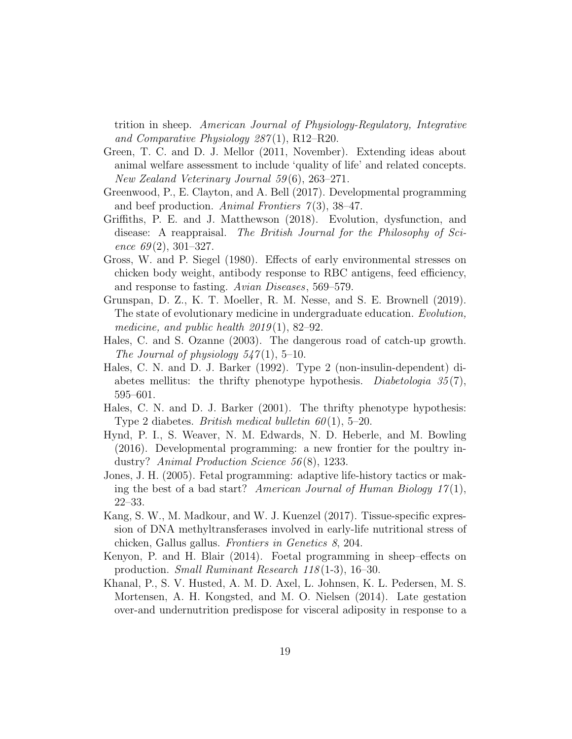trition in sheep. American Journal of Physiology-Regulatory, Integrative and Comparative Physiology 287 (1), R12–R20.

- <span id="page-18-4"></span>Green, T. C. and D. J. Mellor (2011, November). Extending ideas about animal welfare assessment to include 'quality of life' and related concepts. New Zealand Veterinary Journal 59 (6), 263–271.
- <span id="page-18-6"></span>Greenwood, P., E. Clayton, and A. Bell (2017). Developmental programming and beef production. Animal Frontiers  $\mathcal{I}(3)$ , 38–47.
- <span id="page-18-3"></span>Griffiths, P. E. and J. Matthewson (2018). Evolution, dysfunction, and disease: A reappraisal. The British Journal for the Philosophy of Science  $69(2)$ , 301–327.
- <span id="page-18-0"></span>Gross, W. and P. Siegel (1980). Effects of early environmental stresses on chicken body weight, antibody response to RBC antigens, feed efficiency, and response to fasting. Avian Diseases, 569–579.
- <span id="page-18-12"></span>Grunspan, D. Z., K. T. Moeller, R. M. Nesse, and S. E. Brownell (2019). The state of evolutionary medicine in undergraduate education. Evolution, medicine, and public health  $2019(1)$ , 82–92.
- <span id="page-18-10"></span>Hales, C. and S. Ozanne (2003). The dangerous road of catch-up growth. The Journal of physiology  $547(1)$ , 5-10.
- <span id="page-18-1"></span>Hales, C. N. and D. J. Barker (1992). Type 2 (non-insulin-dependent) diabetes mellitus: the thrifty phenotype hypothesis. Diabetologia  $35(7)$ , 595–601.
- <span id="page-18-2"></span>Hales, C. N. and D. J. Barker (2001). The thrifty phenotype hypothesis: Type 2 diabetes. *British medical bulletin 60*(1), 5–20.
- <span id="page-18-5"></span>Hynd, P. I., S. Weaver, N. M. Edwards, N. D. Heberle, and M. Bowling (2016). Developmental programming: a new frontier for the poultry industry? Animal Production Science 56 (8), 1233.
- <span id="page-18-7"></span>Jones, J. H. (2005). Fetal programming: adaptive life-history tactics or making the best of a bad start? American Journal of Human Biology  $17(1)$ , 22–33.
- <span id="page-18-11"></span>Kang, S. W., M. Madkour, and W. J. Kuenzel (2017). Tissue-specific expression of DNA methyltransferases involved in early-life nutritional stress of chicken, Gallus gallus. Frontiers in Genetics 8, 204.
- <span id="page-18-8"></span>Kenyon, P. and H. Blair (2014). Foetal programming in sheep–effects on production. Small Ruminant Research 118 (1-3), 16–30.
- <span id="page-18-9"></span>Khanal, P., S. V. Husted, A. M. D. Axel, L. Johnsen, K. L. Pedersen, M. S. Mortensen, A. H. Kongsted, and M. O. Nielsen (2014). Late gestation over-and undernutrition predispose for visceral adiposity in response to a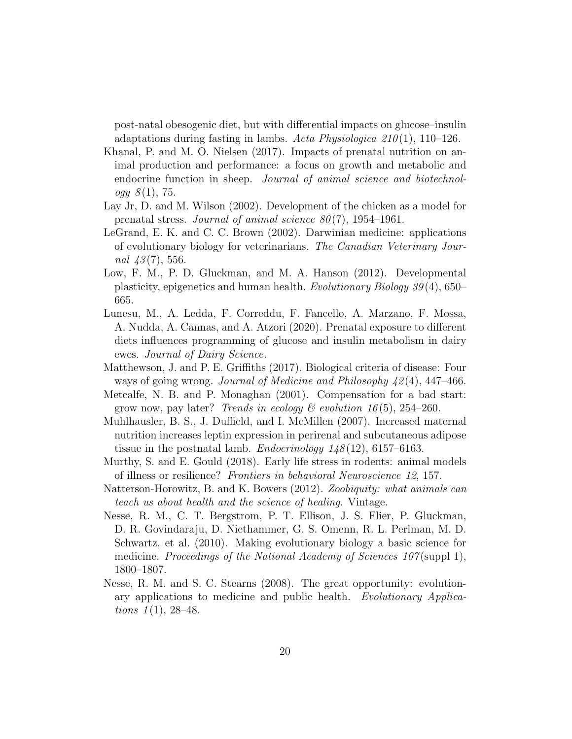post-natal obesogenic diet, but with differential impacts on glucose–insulin adaptations during fasting in lambs. Acta Physiologica  $210(1)$ , 110–126.

- <span id="page-19-0"></span>Khanal, P. and M. O. Nielsen (2017). Impacts of prenatal nutrition on animal production and performance: a focus on growth and metabolic and endocrine function in sheep. *Journal of animal science and biotechnology*  $8(1)$ , 75.
- <span id="page-19-3"></span>Lay Jr, D. and M. Wilson (2002). Development of the chicken as a model for prenatal stress. Journal of animal science  $80(7)$ , 1954–1961.
- <span id="page-19-11"></span>LeGrand, E. K. and C. C. Brown (2002). Darwinian medicine: applications of evolutionary biology for veterinarians. The Canadian Veterinary Journal  $43(7)$ , 556.
- <span id="page-19-4"></span>Low, F. M., P. D. Gluckman, and M. A. Hanson (2012). Developmental plasticity, epigenetics and human health. Evolutionary Biology 39 (4), 650– 665.
- <span id="page-19-6"></span>Lunesu, M., A. Ledda, F. Correddu, F. Fancello, A. Marzano, F. Mossa, A. Nudda, A. Cannas, and A. Atzori (2020). Prenatal exposure to different diets influences programming of glucose and insulin metabolism in dairy ewes. Journal of Dairy Science.
- <span id="page-19-2"></span>Matthewson, J. and P. E. Griffiths (2017). Biological criteria of disease: Four ways of going wrong. Journal of Medicine and Philosophy 42 (4), 447–466.
- <span id="page-19-7"></span>Metcalfe, N. B. and P. Monaghan (2001). Compensation for a bad start: grow now, pay later? Trends in ecology  $\mathcal C$  evolution 16(5), 254–260.
- <span id="page-19-5"></span>Muhlhausler, B. S., J. Duffield, and I. McMillen (2007). Increased maternal nutrition increases leptin expression in perirenal and subcutaneous adipose tissue in the postnatal lamb. *Endocrinology*  $1/8(12)$ , 6157–6163.
- <span id="page-19-1"></span>Murthy, S. and E. Gould (2018). Early life stress in rodents: animal models of illness or resilience? Frontiers in behavioral Neuroscience 12, 157.
- <span id="page-19-10"></span>Natterson-Horowitz, B. and K. Bowers (2012). Zoobiquity: what animals can teach us about health and the science of healing. Vintage.
- <span id="page-19-9"></span>Nesse, R. M., C. T. Bergstrom, P. T. Ellison, J. S. Flier, P. Gluckman, D. R. Govindaraju, D. Niethammer, G. S. Omenn, R. L. Perlman, M. D. Schwartz, et al. (2010). Making evolutionary biology a basic science for medicine. Proceedings of the National Academy of Sciences  $107$ (suppl 1), 1800–1807.
- <span id="page-19-8"></span>Nesse, R. M. and S. C. Stearns (2008). The great opportunity: evolutionary applications to medicine and public health. Evolutionary Applications  $1(1), 28-48.$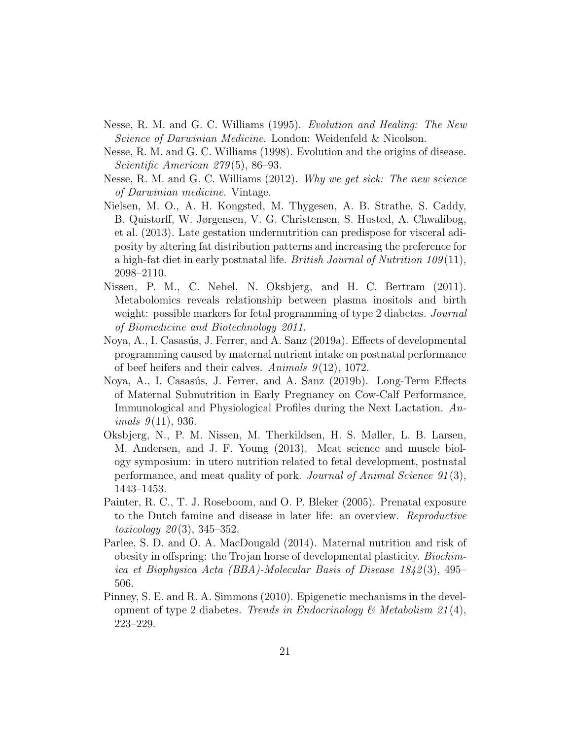- <span id="page-20-10"></span>Nesse, R. M. and G. C. Williams (1995). Evolution and Healing: The New Science of Darwinian Medicine. London: Weidenfeld & Nicolson.
- <span id="page-20-8"></span>Nesse, R. M. and G. C. Williams (1998). Evolution and the origins of disease. Scientific American 279 (5), 86–93.
- <span id="page-20-9"></span>Nesse, R. M. and G. C. Williams (2012). Why we get sick: The new science of Darwinian medicine. Vintage.
- <span id="page-20-3"></span>Nielsen, M. O., A. H. Kongsted, M. Thygesen, A. B. Strathe, S. Caddy, B. Quistorff, W. Jørgensen, V. G. Christensen, S. Husted, A. Chwalibog, et al. (2013). Late gestation undernutrition can predispose for visceral adiposity by altering fat distribution patterns and increasing the preference for a high-fat diet in early postnatal life. *British Journal of Nutrition 109* $(11)$ , 2098–2110.
- <span id="page-20-1"></span>Nissen, P. M., C. Nebel, N. Oksbjerg, and H. C. Bertram (2011). Metabolomics reveals relationship between plasma inositols and birth weight: possible markers for fetal programming of type 2 diabetes. *Journal* of Biomedicine and Biotechnology 2011.
- <span id="page-20-5"></span>Noya, A., I. Casasús, J. Ferrer, and A. Sanz (2019a). Effects of developmental programming caused by maternal nutrient intake on postnatal performance of beef heifers and their calves. Animals  $9(12)$ , 1072.
- <span id="page-20-4"></span>Noya, A., I. Casasús, J. Ferrer, and A. Sanz (2019b). Long-Term Effects of Maternal Subnutrition in Early Pregnancy on Cow-Calf Performance, Immunological and Physiological Profiles during the Next Lactation. An*imals*  $9(11)$ , 936.
- <span id="page-20-2"></span>Oksbjerg, N., P. M. Nissen, M. Therkildsen, H. S. Møller, L. B. Larsen, M. Andersen, and J. F. Young (2013). Meat science and muscle biology symposium: in utero nutrition related to fetal development, postnatal performance, and meat quality of pork. Journal of Animal Science 91 (3), 1443–1453.
- <span id="page-20-0"></span>Painter, R. C., T. J. Roseboom, and O. P. Bleker (2005). Prenatal exposure to the Dutch famine and disease in later life: an overview. Reproductive toxicology  $20(3)$ , 345–352.
- <span id="page-20-7"></span>Parlee, S. D. and O. A. MacDougald (2014). Maternal nutrition and risk of obesity in offspring: the Trojan horse of developmental plasticity. Biochimica et Biophysica Acta (BBA)-Molecular Basis of Disease 1842 (3), 495– 506.
- <span id="page-20-6"></span>Pinney, S. E. and R. A. Simmons (2010). Epigenetic mechanisms in the development of type 2 diabetes. Trends in Endocrinology & Metabolism  $21(4)$ , 223–229.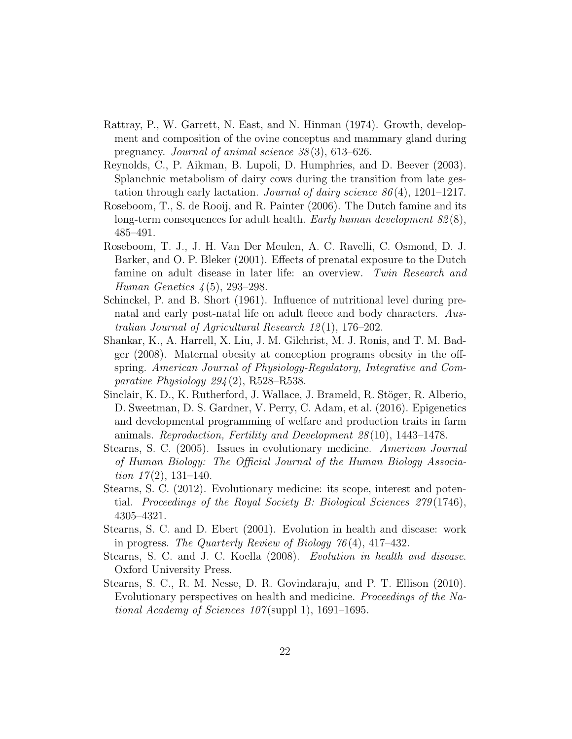- <span id="page-21-4"></span>Rattray, P., W. Garrett, N. East, and N. Hinman (1974). Growth, development and composition of the ovine conceptus and mammary gland during pregnancy. Journal of animal science 38 (3), 613–626.
- <span id="page-21-5"></span>Reynolds, C., P. Aikman, B. Lupoli, D. Humphries, and D. Beever (2003). Splanchnic metabolism of dairy cows during the transition from late gestation through early lactation. *Journal of dairy science*  $86(4)$ , 1201–1217.
- <span id="page-21-2"></span>Roseboom, T., S. de Rooij, and R. Painter (2006). The Dutch famine and its long-term consequences for adult health. Early human development  $82(8)$ , 485–491.
- <span id="page-21-1"></span>Roseboom, T. J., J. H. Van Der Meulen, A. C. Ravelli, C. Osmond, D. J. Barker, and O. P. Bleker (2001). Effects of prenatal exposure to the Dutch famine on adult disease in later life: an overview. Twin Research and Human Genetics  $4(5)$ , 293-298.
- <span id="page-21-6"></span>Schinckel, P. and B. Short (1961). Influence of nutritional level during prenatal and early post-natal life on adult fleece and body characters. Australian Journal of Agricultural Research 12 (1), 176–202.
- <span id="page-21-3"></span>Shankar, K., A. Harrell, X. Liu, J. M. Gilchrist, M. J. Ronis, and T. M. Badger (2008). Maternal obesity at conception programs obesity in the offspring. American Journal of Physiology-Regulatory, Integrative and Comparative Physiology  $294(2)$ , R528–R538.
- <span id="page-21-0"></span>Sinclair, K. D., K. Rutherford, J. Wallace, J. Brameld, R. Stöger, R. Alberio, D. Sweetman, D. S. Gardner, V. Perry, C. Adam, et al. (2016). Epigenetics and developmental programming of welfare and production traits in farm animals. Reproduction, Fertility and Development 28 (10), 1443–1478.
- <span id="page-21-8"></span>Stearns, S. C. (2005). Issues in evolutionary medicine. American Journal of Human Biology: The Official Journal of the Human Biology Association  $17(2)$ , 131–140.
- <span id="page-21-11"></span>Stearns, S. C. (2012). Evolutionary medicine: its scope, interest and potential. Proceedings of the Royal Society B: Biological Sciences 279 (1746), 4305–4321.
- <span id="page-21-7"></span>Stearns, S. C. and D. Ebert (2001). Evolution in health and disease: work in progress. The Quarterly Review of Biology 76 (4), 417–432.
- <span id="page-21-9"></span>Stearns, S. C. and J. C. Koella (2008). Evolution in health and disease. Oxford University Press.
- <span id="page-21-10"></span>Stearns, S. C., R. M. Nesse, D. R. Govindaraju, and P. T. Ellison (2010). Evolutionary perspectives on health and medicine. Proceedings of the National Academy of Sciences  $107$ (suppl 1), 1691–1695.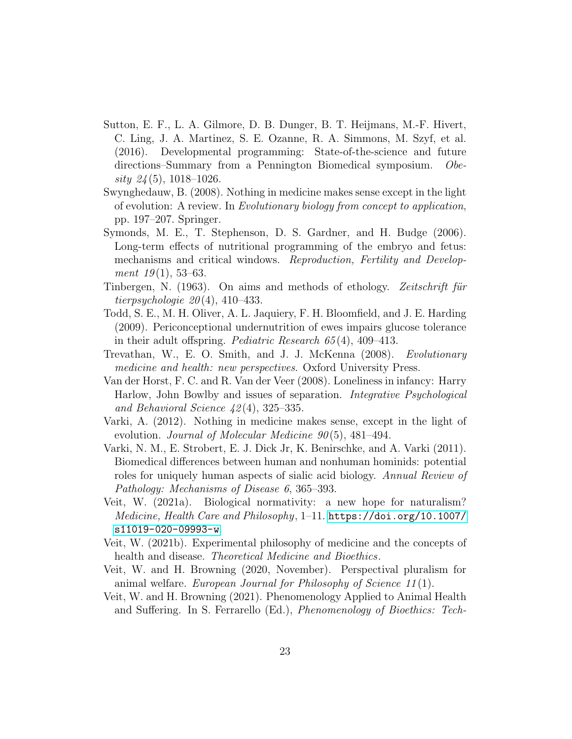- <span id="page-22-0"></span>Sutton, E. F., L. A. Gilmore, D. B. Dunger, B. T. Heijmans, M.-F. Hivert, C. Ling, J. A. Martinez, S. E. Ozanne, R. A. Simmons, M. Szyf, et al. (2016). Developmental programming: State-of-the-science and future directions–Summary from a Pennington Biomedical symposium. Obesity  $24(5)$ , 1018–1026.
- <span id="page-22-9"></span>Swynghedauw, B. (2008). Nothing in medicine makes sense except in the light of evolution: A review. In Evolutionary biology from concept to application, pp. 197–207. Springer.
- <span id="page-22-7"></span>Symonds, M. E., T. Stephenson, D. S. Gardner, and H. Budge (2006). Long-term effects of nutritional programming of the embryo and fetus: mechanisms and critical windows. Reproduction, Fertility and Development  $19(1)$ , 53–63.
- <span id="page-22-6"></span>Tinbergen, N. (1963). On aims and methods of ethology. Zeitschrift für tierpsychologie  $20(4)$ , 410–433.
- <span id="page-22-8"></span>Todd, S. E., M. H. Oliver, A. L. Jaquiery, F. H. Bloomfield, and J. E. Harding (2009). Periconceptional undernutrition of ewes impairs glucose tolerance in their adult offspring. Pediatric Research 65 (4), 409–413.
- <span id="page-22-10"></span>Trevathan, W., E. O. Smith, and J. J. McKenna (2008). Evolutionary medicine and health: new perspectives. Oxford University Press.
- <span id="page-22-1"></span>Van der Horst, F. C. and R. Van der Veer (2008). Loneliness in infancy: Harry Harlow, John Bowlby and issues of separation. Integrative Psychological and Behavioral Science  $42(4)$ , 325–335.
- <span id="page-22-11"></span>Varki, A. (2012). Nothing in medicine makes sense, except in the light of evolution. Journal of Molecular Medicine  $90(5)$ , 481–494.
- <span id="page-22-12"></span>Varki, N. M., E. Strobert, E. J. Dick Jr, K. Benirschke, and A. Varki (2011). Biomedical differences between human and nonhuman hominids: potential roles for uniquely human aspects of sialic acid biology. Annual Review of Pathology: Mechanisms of Disease 6, 365–393.
- <span id="page-22-2"></span>Veit, W. (2021a). Biological normativity: a new hope for naturalism? Medicine, Health Care and Philosophy, 1–11. [https://doi.org/10.1007/](https://doi.org/10.1007/s11019-020-09993-w) [s11019-020-09993-w](https://doi.org/10.1007/s11019-020-09993-w).
- <span id="page-22-3"></span>Veit, W. (2021b). Experimental philosophy of medicine and the concepts of health and disease. *Theoretical Medicine and Bioethics*.
- <span id="page-22-4"></span>Veit, W. and H. Browning (2020, November). Perspectival pluralism for animal welfare. European Journal for Philosophy of Science 11 (1).
- <span id="page-22-5"></span>Veit, W. and H. Browning (2021). Phenomenology Applied to Animal Health and Suffering. In S. Ferrarello (Ed.), Phenomenology of Bioethics: Tech-